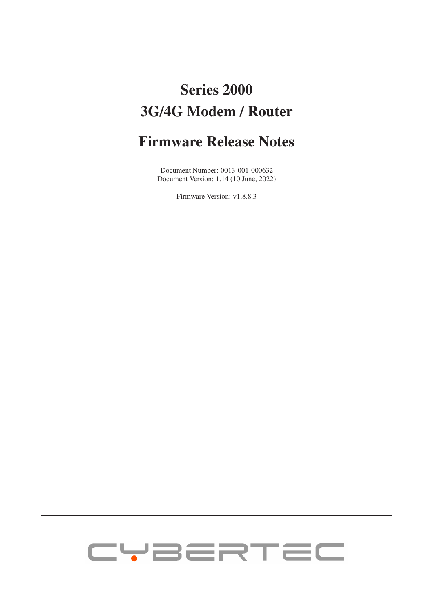# Series 2000 3G/4G Modem / Router

## Firmware Release Notes

Document Number: 0013-001-000632 Document Version: 1.14 (10 June, 2022)

Firmware Version: v1.8.8.3

# CYBERTEC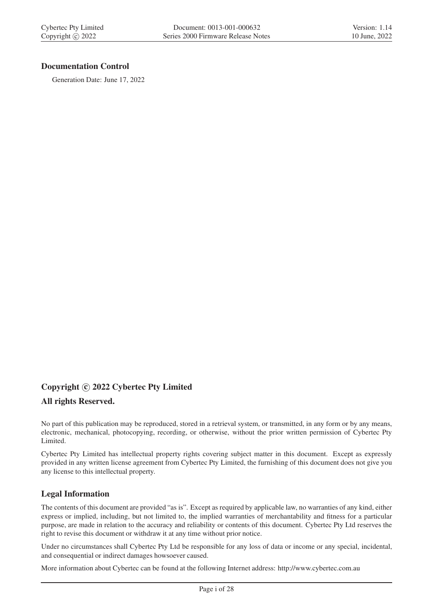#### Documentation Control

Generation Date: June 17, 2022

#### Copyright © 2022 Cybertec Pty Limited

#### All rights Reserved.

No part of this publication may be reproduced, stored in a retrieval system, or transmitted, in any form or by any means, electronic, mechanical, photocopying, recording, or otherwise, without the prior written permission of Cybertec Pty Limited.

Cybertec Pty Limited has intellectual property rights covering subject matter in this document. Except as expressly provided in any written license agreement from Cybertec Pty Limited, the furnishing of this document does not give you any license to this intellectual property.

#### Legal Information

The contents of this document are provided "as is". Except as required by applicable law, no warranties of any kind, either express or implied, including, but not limited to, the implied warranties of merchantability and fitness for a particular purpose, are made in relation to the accuracy and reliability or contents of this document. Cybertec Pty Ltd reserves the right to revise this document or withdraw it at any time without prior notice.

Under no circumstances shall Cybertec Pty Ltd be responsible for any loss of data or income or any special, incidental, and consequential or indirect damages howsoever caused.

More information about Cybertec can be found at the following Internet address: http://www.cybertec.com.au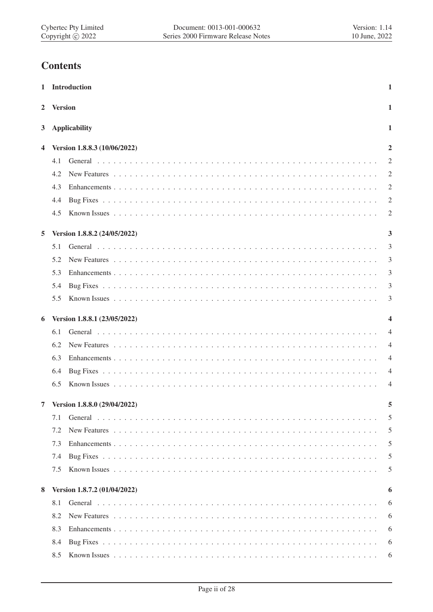## **Contents**

|                |                | 1 Introduction                 | $\mathbf{1}$   |
|----------------|----------------|--------------------------------|----------------|
| $\overline{2}$ | <b>Version</b> |                                | 1              |
| 3              |                | <b>Applicability</b>           | 1              |
| 4              |                | Version 1.8.8.3 (10/06/2022)   | $\overline{2}$ |
|                | 4.1            |                                | 2              |
|                | 4.2            |                                | 2              |
|                | 4.3            |                                | 2              |
|                | 4.4            |                                | $\overline{2}$ |
|                | 4.5            |                                | 2              |
| 5              |                | Version 1.8.8.2 (24/05/2022)   | 3              |
|                | 5.1            |                                | 3              |
|                | 5.2            |                                | 3              |
|                | 5.3            |                                | 3              |
|                | 5.4            |                                | 3              |
|                | 5.5            |                                | 3              |
|                |                |                                |                |
| 6              |                | Version 1.8.8.1 (23/05/2022)   | 4              |
|                | 6.1            |                                | $\overline{4}$ |
|                | 6.2            |                                | $\overline{4}$ |
|                | 6.3            |                                | $\overline{4}$ |
|                | 6.4            |                                | $\overline{4}$ |
|                | 6.5            |                                | $\overline{4}$ |
|                |                | 7 Version 1.8.8.0 (29/04/2022) | 5              |
|                | 7.1            |                                | 5              |
|                | 7.2            |                                | 5              |
|                | 7.3            |                                | 5              |
|                | 7.4            |                                | 5              |
|                | 7.5            |                                | 5              |
| 8              |                | Version 1.8.7.2 (01/04/2022)   | 6              |
|                | 8.1            |                                | 6              |
|                | 8.2            |                                | 6              |
|                | 8.3            |                                | 6              |
|                | 8.4            |                                | 6              |
|                | 8.5            |                                | 6              |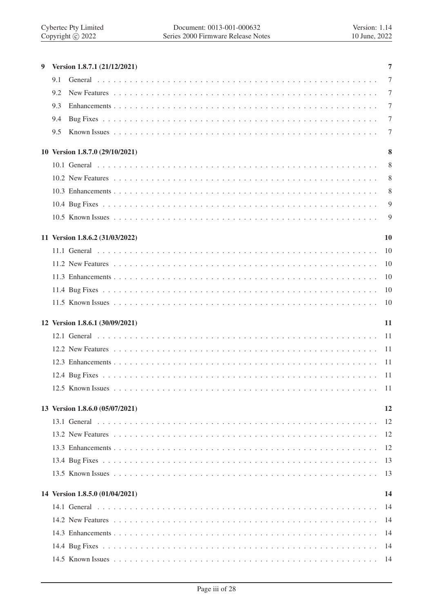| 9 | Version 1.8.7.1 (21/12/2021)    | 7          |
|---|---------------------------------|------------|
|   | 9.1                             | 7          |
|   | 9.2                             | 7          |
|   | 9.3                             | 7          |
|   | 9.4                             | 7          |
|   | 9.5                             | 7          |
|   | 10 Version 1.8.7.0 (29/10/2021) | 8          |
|   |                                 | 8          |
|   |                                 | 8          |
|   |                                 | 8          |
|   |                                 | 9          |
|   |                                 | 9          |
|   | 11 Version 1.8.6.2 (31/03/2022) | 10         |
|   |                                 | 10         |
|   |                                 | 10         |
|   |                                 | 10         |
|   |                                 | 10         |
|   |                                 | 10         |
|   | 12 Version 1.8.6.1 (30/09/2021) | 11         |
|   |                                 | -11        |
|   |                                 | -11        |
|   |                                 | -11        |
|   |                                 |            |
|   |                                 |            |
|   | 13 Version 1.8.6.0 (05/07/2021) | 12         |
|   |                                 | 12         |
|   |                                 | 12         |
|   |                                 | 12         |
|   |                                 | 13         |
|   |                                 | 13         |
|   |                                 |            |
|   | 14 Version 1.8.5.0 (01/04/2021) | 14         |
|   |                                 | 14         |
|   |                                 | 14         |
|   |                                 | 14         |
|   |                                 |            |
|   |                                 | -14<br>-14 |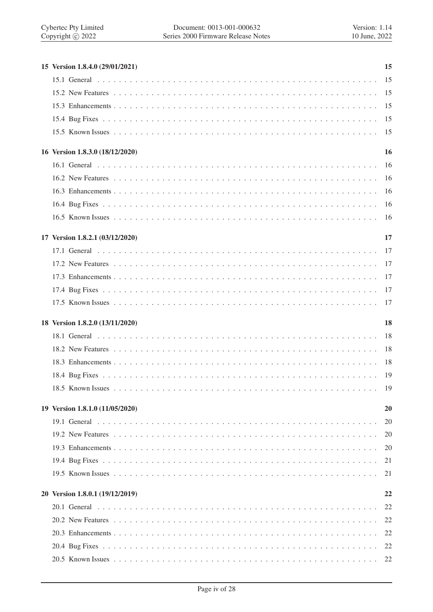| 15 Version 1.8.4.0 (29/01/2021) | 15  |
|---------------------------------|-----|
|                                 | 15  |
|                                 |     |
|                                 | 15  |
|                                 | 15  |
|                                 | 15  |
| 16 Version 1.8.3.0 (18/12/2020) | 16  |
|                                 | 16  |
|                                 | -16 |
|                                 | 16  |
|                                 | 16  |
|                                 | 16  |
| 17 Version 1.8.2.1 (03/12/2020) | 17  |
|                                 | 17  |
|                                 | 17  |
|                                 | 17  |
|                                 | 17  |
|                                 | 17  |
|                                 |     |
| 18 Version 1.8.2.0 (13/11/2020) | 18  |
|                                 | 18  |
|                                 | 18  |
|                                 | 18  |
|                                 | -19 |
|                                 | 19  |
| 19 Version 1.8.1.0 (11/05/2020) | 20  |
|                                 | 20  |
|                                 | 20  |
|                                 | 20  |
|                                 | 21  |
|                                 | 21  |
| 20 Version 1.8.0.1 (19/12/2019) | 22  |
|                                 | 22  |
|                                 | 22  |
|                                 | 22  |
|                                 | 22  |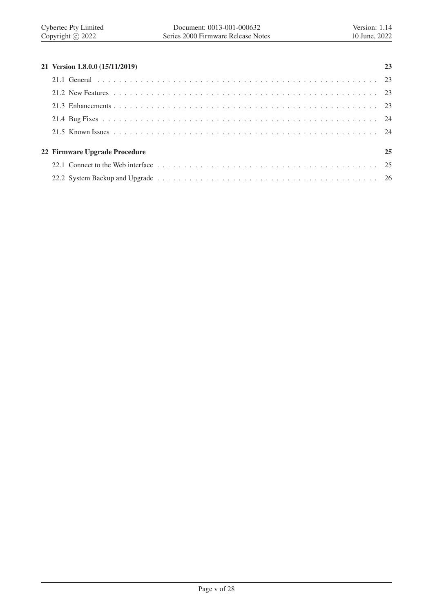| 21 Version 1.8.0.0 (15/11/2019) | 23 |
|---------------------------------|----|
|                                 |    |
|                                 |    |
|                                 |    |
|                                 |    |
|                                 |    |
| 22 Firmware Upgrade Procedure   | 25 |
|                                 |    |

22.2 System Backup and Upgrade . . . . . . . . . . . . . . . . . . . . . . . . . . . . . . . . . . . . . . . . . 26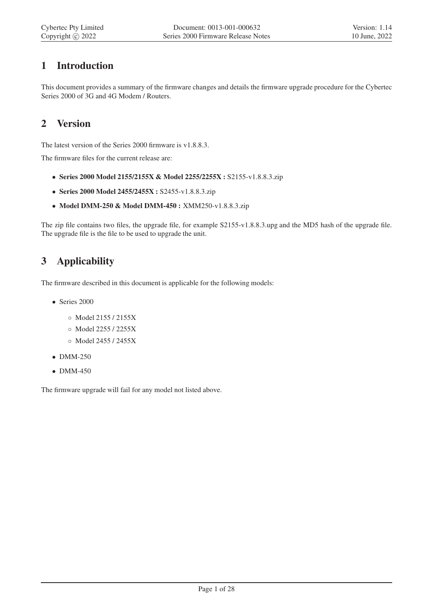## 1 Introduction

This document provides a summary of the firmware changes and details the firmware upgrade procedure for the Cybertec Series 2000 of 3G and 4G Modem / Routers.

## 2 Version

The latest version of the Series 2000 firmware is v1.8.8.3.

The firmware files for the current release are:

- Series 2000 Model 2155/2155X & Model 2255/2255X : S2155-v1.8.8.3.zip
- Series 2000 Model 2455/2455X : S2455-v1.8.8.3.zip
- Model DMM-250 & Model DMM-450 : XMM250-v1.8.8.3.zip

The zip file contains two files, the upgrade file, for example S2155-v1.8.8.3.upg and the MD5 hash of the upgrade file. The upgrade file is the file to be used to upgrade the unit.

## 3 Applicability

The firmware described in this document is applicable for the following models:

- Series 2000
	- Model 2155 / 2155X
	- Model 2255 / 2255X
	- Model 2455 / 2455X
- DMM-250
- DMM-450

The firmware upgrade will fail for any model not listed above.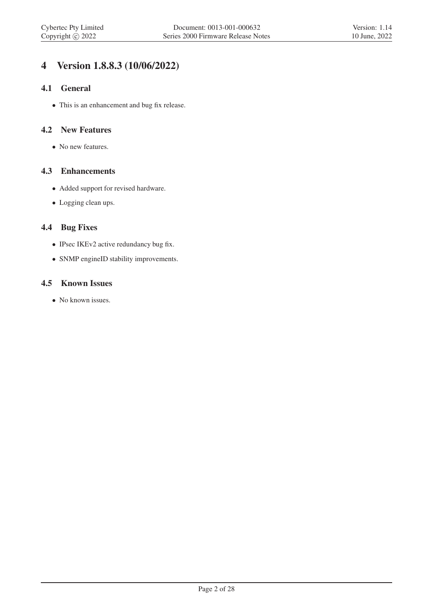## 4 Version 1.8.8.3 (10/06/2022)

#### 4.1 General

• This is an enhancement and bug fix release.

#### 4.2 New Features

• No new features.

#### 4.3 Enhancements

- Added support for revised hardware.
- Logging clean ups.

#### 4.4 Bug Fixes

- IPsec IKEv2 active redundancy bug fix.
- SNMP engineID stability improvements.

#### 4.5 Known Issues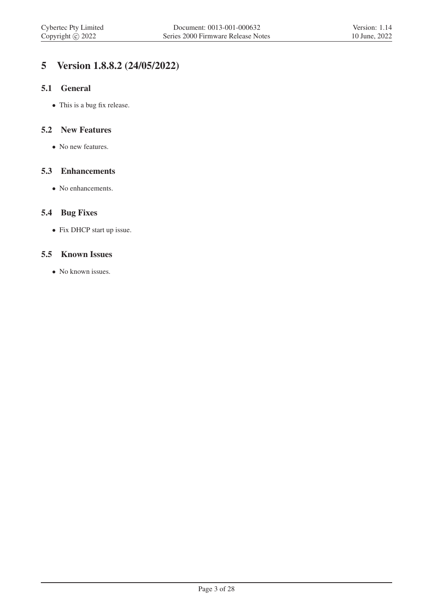## 5 Version 1.8.8.2 (24/05/2022)

#### 5.1 General

• This is a bug fix release.

#### 5.2 New Features

• No new features.

#### 5.3 Enhancements

• No enhancements.

#### 5.4 Bug Fixes

• Fix DHCP start up issue.

#### 5.5 Known Issues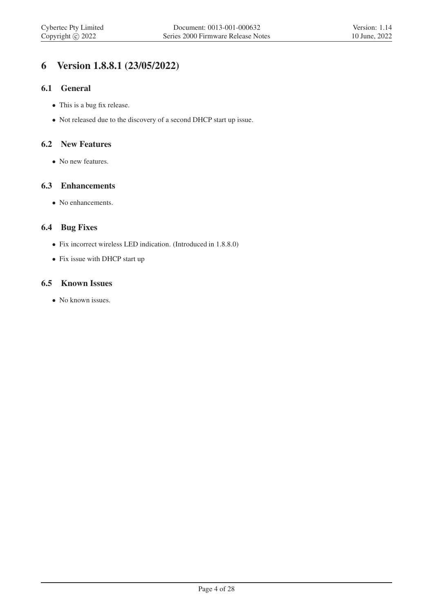## 6 Version 1.8.8.1 (23/05/2022)

#### 6.1 General

- This is a bug fix release.
- Not released due to the discovery of a second DHCP start up issue.

#### 6.2 New Features

• No new features.

#### 6.3 Enhancements

• No enhancements.

#### 6.4 Bug Fixes

- Fix incorrect wireless LED indication. (Introduced in 1.8.8.0)
- Fix issue with DHCP start up

#### 6.5 Known Issues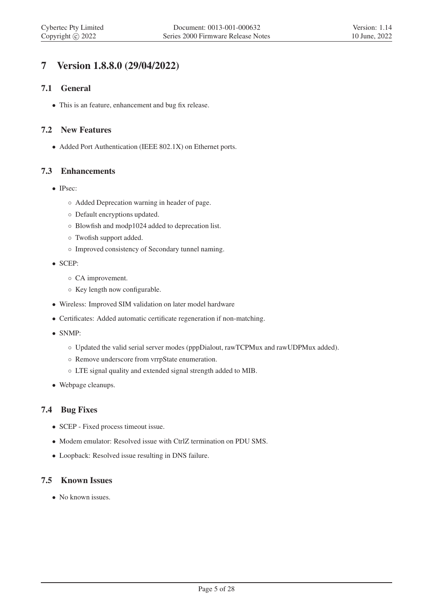## 7 Version 1.8.8.0 (29/04/2022)

#### 7.1 General

• This is an feature, enhancement and bug fix release.

#### 7.2 New Features

• Added Port Authentication (IEEE 802.1X) on Ethernet ports.

#### 7.3 Enhancements

- IPsec:
	- Added Deprecation warning in header of page.
	- Default encryptions updated.
	- Blowfish and modp1024 added to deprecation list.
	- Twofish support added.
	- Improved consistency of Secondary tunnel naming.
- SCEP:
	- CA improvement.
	- Key length now configurable.
- Wireless: Improved SIM validation on later model hardware
- Certificates: Added automatic certificate regeneration if non-matching.
- SNMP:
	- Updated the valid serial server modes (pppDialout, rawTCPMux and rawUDPMux added).
	- Remove underscore from vrrpState enumeration.
	- LTE signal quality and extended signal strength added to MIB.
- Webpage cleanups.

#### 7.4 Bug Fixes

- SCEP Fixed process timeout issue.
- Modem emulator: Resolved issue with CtrlZ termination on PDU SMS.
- Loopback: Resolved issue resulting in DNS failure.

#### 7.5 Known Issues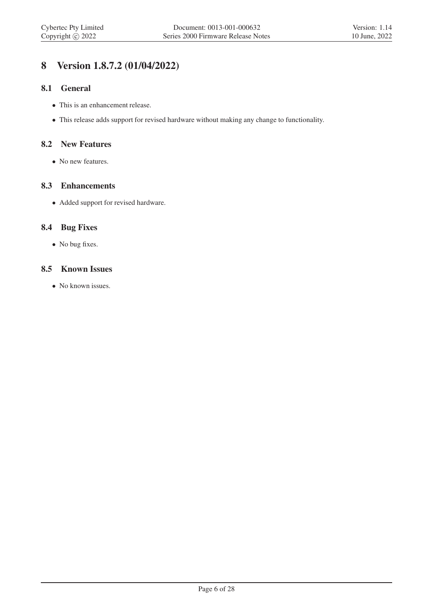## 8 Version 1.8.7.2 (01/04/2022)

#### 8.1 General

- This is an enhancement release.
- This release adds support for revised hardware without making any change to functionality.

#### 8.2 New Features

• No new features.

#### 8.3 Enhancements

• Added support for revised hardware.

#### 8.4 Bug Fixes

• No bug fixes.

#### 8.5 Known Issues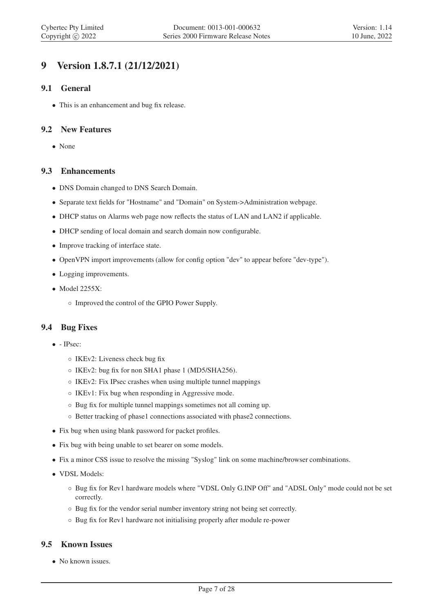## 9 Version 1.8.7.1 (21/12/2021)

#### 9.1 General

• This is an enhancement and bug fix release.

#### 9.2 New Features

• None

#### 9.3 Enhancements

- DNS Domain changed to DNS Search Domain.
- Separate text fields for "Hostname" and "Domain" on System->Administration webpage.
- DHCP status on Alarms web page now reflects the status of LAN and LAN2 if applicable.
- DHCP sending of local domain and search domain now configurable.
- Improve tracking of interface state.
- OpenVPN import improvements (allow for config option "dev" to appear before "dev-type").
- Logging improvements.
- Model 2255X:
	- Improved the control of the GPIO Power Supply.

#### 9.4 Bug Fixes

- - IPsec:
	- IKEv2: Liveness check bug fix
	- IKEv2: bug fix for non SHA1 phase 1 (MD5/SHA256).
	- IKEv2: Fix IPsec crashes when using multiple tunnel mappings
	- IKEv1: Fix bug when responding in Aggressive mode.
	- Bug fix for multiple tunnel mappings sometimes not all coming up.
	- Better tracking of phase1 connections associated with phase2 connections.
- Fix bug when using blank password for packet profiles.
- Fix bug with being unable to set bearer on some models.
- Fix a minor CSS issue to resolve the missing "Syslog" link on some machine/browser combinations.
- VDSL Models:
	- Bug fix for Rev1 hardware models where "VDSL Only G.INP Off" and "ADSL Only" mode could not be set correctly.
	- Bug fix for the vendor serial number inventory string not being set correctly.
	- Bug fix for Rev1 hardware not initialising properly after module re-power

#### 9.5 Known Issues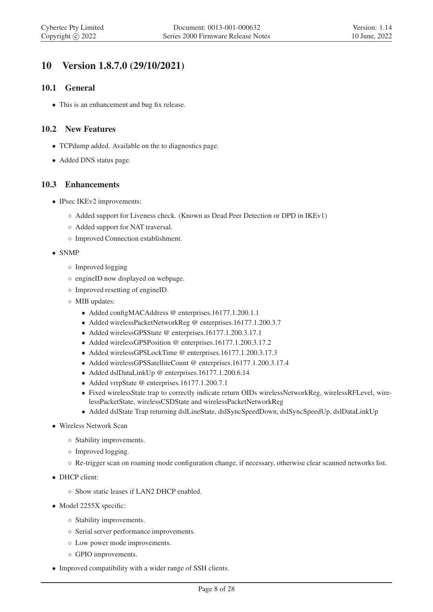## 10 Version 1.8.7.0 (29/10/2021)

#### 10.1 General

• This is an enhancement and bug fix release.

#### 10.2 New Features

- TCPdump added. Available on the to diagnostics page.
- Added DNS status page.

#### 10.3 Enhancements

- IPsec IKEv2 improvements:
	- Added support for Liveness check. (Known as Dead Peer Detection or DPD in IKEv1)
	- Added support for NAT traversal.
	- Improved Connection establishment.
- SNMP
	- Improved logging
	- engineID now displayed on webpage.
	- Improved resetting of engineID.
	- MIB updates:
		- Added configMACAddress @ enterprises.16177.1.200.1.1
		- Added wirelessPacketNetworkReg @ enterprises.16177.1.200.3.7
		- Added wirelessGPSState @ enterprises.16177.1.200.3.17.1
		- Added wirelessGPSPosition @ enterprises.16177.1.200.3.17.2
		- Added wirelessGPSLockTime @ enterprises.16177.1.200.3.17.3
		- Added wirelessGPSSatelliteCount @ enterprises.16177.1.200.3.17.4
		- Added dslDataLinkUp @ enterprises.16177.1.200.6.14
		- Added vrrpState @ enterprises.16177.1.200.7.1
		- Fixed wirelessState trap to correctly indicate return OIDs wirelessNetworkReg, wirelessRFLevel, wirelessPacketState, wirelessCSDState and wirelessPacketNetworkReg
		- Added dslState Trap returning dslLineState, dslSyncSpeedDown, dslSyncSpeedUp, dslDataLinkUp
- Wireless Network Scan
	- Stability improvements.
	- Improved logging.
	- Re-trigger scan on roaming mode configuration change, if necessary, otherwise clear scanned networks list.
- DHCP client:
	- Show static leases if LAN2 DHCP enabled.
- Model 2255X specific:
	- Stability improvements.
	- Serial server performance improvements.
	- Low power mode improvements.
	- GPIO improvements.
- Improved compatibility with a wider range of SSH clients.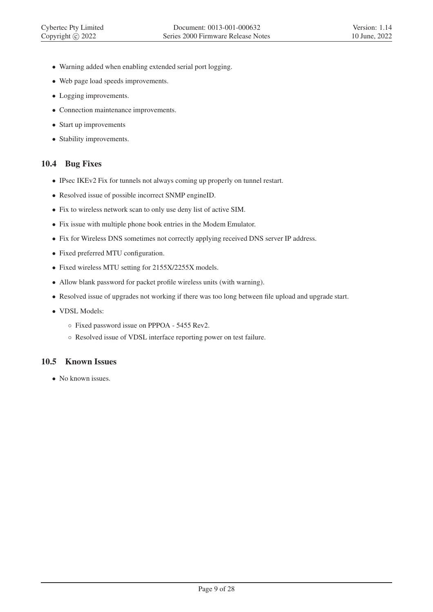- Warning added when enabling extended serial port logging.
- Web page load speeds improvements.
- Logging improvements.
- Connection maintenance improvements.
- Start up improvements
- Stability improvements.

### 10.4 Bug Fixes

- IPsec IKEv2 Fix for tunnels not always coming up properly on tunnel restart.
- Resolved issue of possible incorrect SNMP engineID.
- Fix to wireless network scan to only use deny list of active SIM.
- Fix issue with multiple phone book entries in the Modem Emulator.
- Fix for Wireless DNS sometimes not correctly applying received DNS server IP address.
- Fixed preferred MTU configuration.
- Fixed wireless MTU setting for 2155X/2255X models.
- Allow blank password for packet profile wireless units (with warning).
- Resolved issue of upgrades not working if there was too long between file upload and upgrade start.
- VDSL Models:
	- Fixed password issue on PPPOA 5455 Rev2.
	- Resolved issue of VDSL interface reporting power on test failure.

## 10.5 Known Issues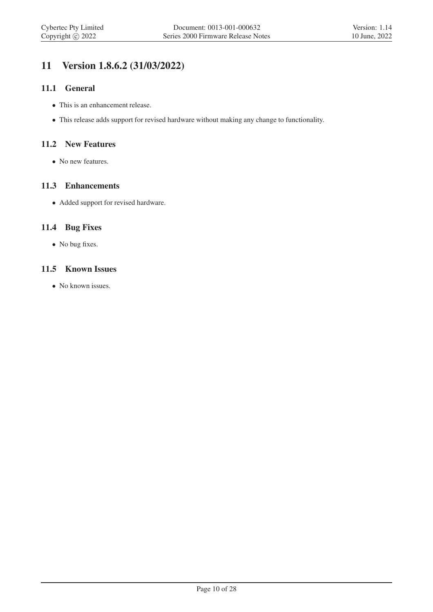## 11 Version 1.8.6.2 (31/03/2022)

#### 11.1 General

- This is an enhancement release.
- This release adds support for revised hardware without making any change to functionality.

#### 11.2 New Features

• No new features.

#### 11.3 Enhancements

• Added support for revised hardware.

#### 11.4 Bug Fixes

• No bug fixes.

#### 11.5 Known Issues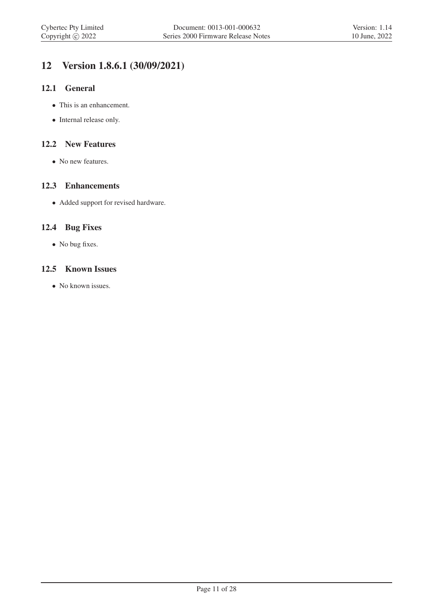## 12 Version 1.8.6.1 (30/09/2021)

#### 12.1 General

- This is an enhancement.
- Internal release only.

#### 12.2 New Features

• No new features.

#### 12.3 Enhancements

• Added support for revised hardware.

#### 12.4 Bug Fixes

• No bug fixes.

#### 12.5 Known Issues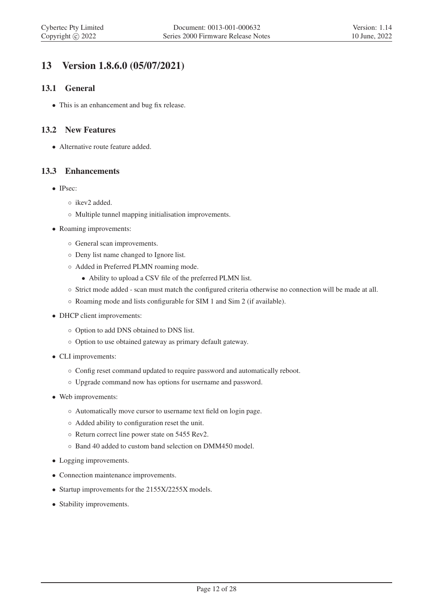## 13 Version 1.8.6.0 (05/07/2021)

#### 13.1 General

• This is an enhancement and bug fix release.

#### 13.2 New Features

• Alternative route feature added.

#### 13.3 Enhancements

- IPsec:
	- ikev2 added.
	- Multiple tunnel mapping initialisation improvements.
- Roaming improvements:
	- General scan improvements.
	- Deny list name changed to Ignore list.
	- Added in Preferred PLMN roaming mode.
		- Ability to upload a CSV file of the preferred PLMN list.
	- Strict mode added scan must match the configured criteria otherwise no connection will be made at all.
	- Roaming mode and lists configurable for SIM 1 and Sim 2 (if available).
- DHCP client improvements:
	- Option to add DNS obtained to DNS list.
	- Option to use obtained gateway as primary default gateway.
- CLI improvements:
	- Config reset command updated to require password and automatically reboot.
	- Upgrade command now has options for username and password.
- Web improvements:
	- Automatically move cursor to username text field on login page.
	- Added ability to configuration reset the unit.
	- Return correct line power state on 5455 Rev2.
	- Band 40 added to custom band selection on DMM450 model.
- Logging improvements.
- Connection maintenance improvements.
- Startup improvements for the 2155X/2255X models.
- Stability improvements.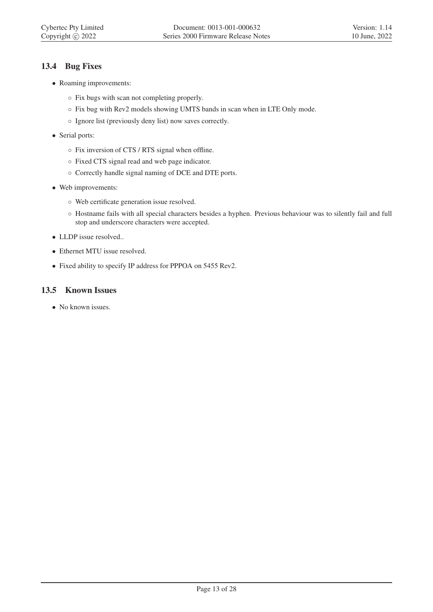#### 13.4 Bug Fixes

- Roaming improvements:
	- Fix bugs with scan not completing properly.
	- Fix bug with Rev2 models showing UMTS bands in scan when in LTE Only mode.
	- Ignore list (previously deny list) now saves correctly.
- Serial ports:
	- Fix inversion of CTS / RTS signal when offline.
	- Fixed CTS signal read and web page indicator.
	- Correctly handle signal naming of DCE and DTE ports.
- Web improvements:
	- Web certificate generation issue resolved.
	- Hostname fails with all special characters besides a hyphen. Previous behaviour was to silently fail and full stop and underscore characters were accepted.
- LLDP issue resolved..
- Ethernet MTU issue resolved.
- Fixed ability to specify IP address for PPPOA on 5455 Rev2.

#### 13.5 Known Issues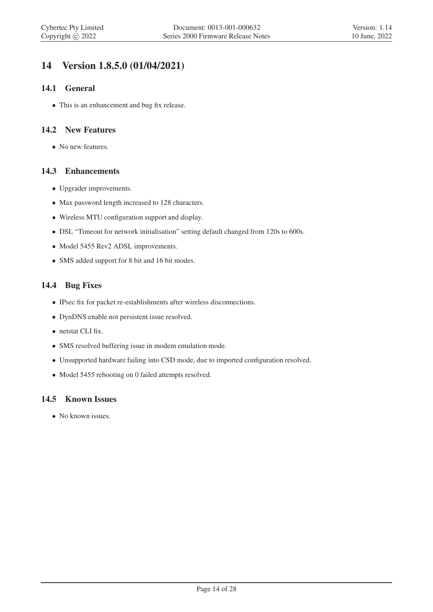## 14 Version 1.8.5.0 (01/04/2021)

#### 14.1 General

• This is an enhancement and bug fix release.

#### 14.2 New Features

• No new features.

#### 14.3 Enhancements

- Upgrader improvements.
- Max password length increased to 128 characters.
- Wireless MTU configuration support and display.
- DSL "Timeout for network initialisation" setting default changed from 120s to 600s.
- Model 5455 Rev2 ADSL improvements.
- SMS added support for 8 bit and 16 bit modes.

#### 14.4 Bug Fixes

- IPsec fix for packet re-establishments after wireless disconnections.
- DynDNS enable not persistent issue resolved.
- netstat CLI fix.
- SMS resolved buffering issue in modem emulation mode.
- Unsupported hardware failing into CSD mode, due to imported configuration resolved.
- Model 5455 rebooting on 0 failed attempts resolved.

#### 14.5 Known Issues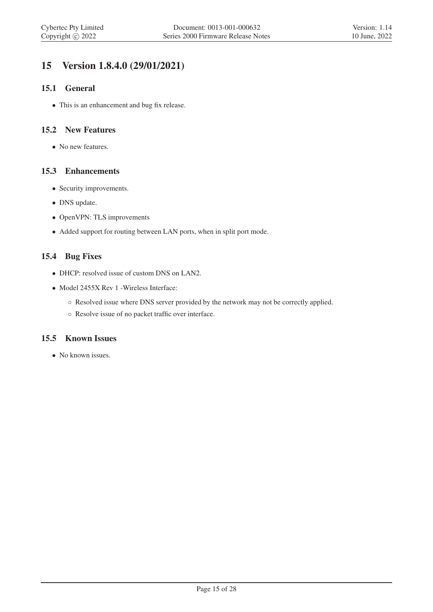## 15 Version 1.8.4.0 (29/01/2021)

#### 15.1 General

• This is an enhancement and bug fix release.

#### 15.2 New Features

• No new features.

#### 15.3 Enhancements

- Security improvements.
- DNS update.
- OpenVPN: TLS improvements
- Added support for routing between LAN ports, when in split port mode.

#### 15.4 Bug Fixes

- DHCP: resolved issue of custom DNS on LAN2.
- Model 2455X Rev 1 Wireless Interface:
	- Resolved issue where DNS server provided by the network may not be correctly applied.
	- Resolve issue of no packet traffic over interface.

#### 15.5 Known Issues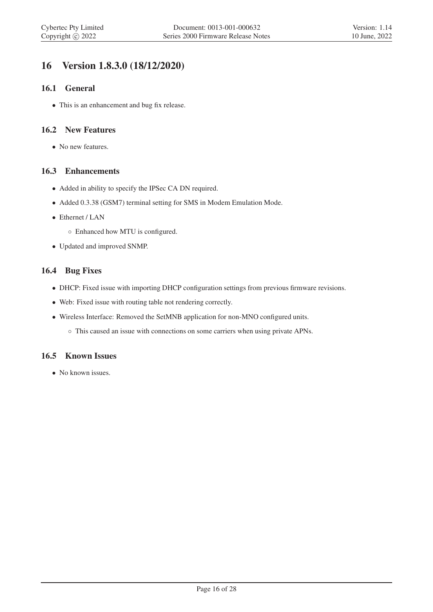## 16 Version 1.8.3.0 (18/12/2020)

#### 16.1 General

• This is an enhancement and bug fix release.

#### 16.2 New Features

• No new features.

#### 16.3 Enhancements

- Added in ability to specify the IPSec CA DN required.
- Added 0.3.38 (GSM7) terminal setting for SMS in Modem Emulation Mode.
- Ethernet / LAN
	- Enhanced how MTU is configured.
- Updated and improved SNMP.

#### 16.4 Bug Fixes

- DHCP: Fixed issue with importing DHCP configuration settings from previous firmware revisions.
- Web: Fixed issue with routing table not rendering correctly.
- Wireless Interface: Removed the SetMNB application for non-MNO configured units.
	- This caused an issue with connections on some carriers when using private APNs.

#### 16.5 Known Issues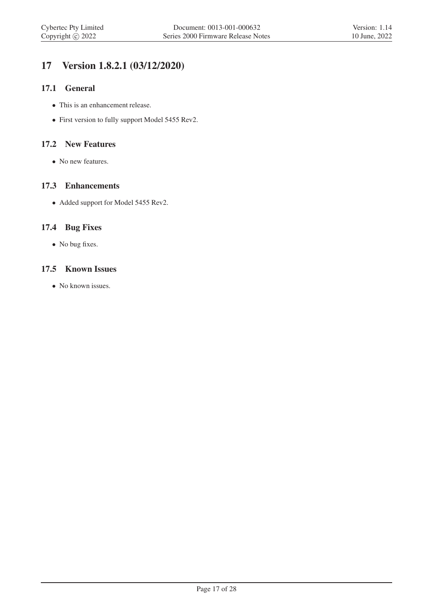## 17 Version 1.8.2.1 (03/12/2020)

#### 17.1 General

- This is an enhancement release.
- First version to fully support Model 5455 Rev2.

#### 17.2 New Features

• No new features.

#### 17.3 Enhancements

• Added support for Model 5455 Rev2.

#### 17.4 Bug Fixes

• No bug fixes.

#### 17.5 Known Issues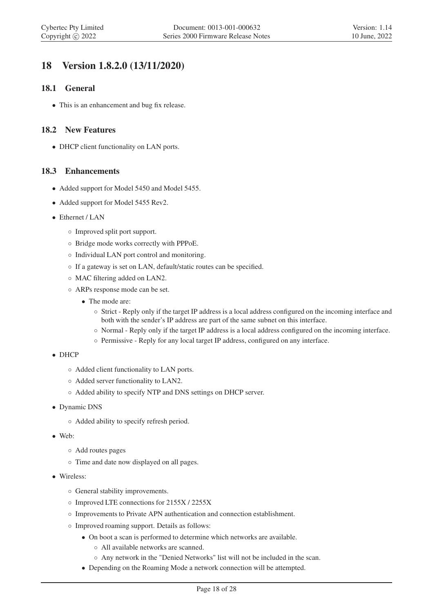## 18 Version 1.8.2.0 (13/11/2020)

#### 18.1 General

• This is an enhancement and bug fix release.

#### 18.2 New Features

• DHCP client functionality on LAN ports.

#### 18.3 Enhancements

- Added support for Model 5450 and Model 5455.
- Added support for Model 5455 Rev2.
- Ethernet / LAN
	- Improved split port support.
	- Bridge mode works correctly with PPPoE.
	- Individual LAN port control and monitoring.
	- If a gateway is set on LAN, default/static routes can be specified.
	- MAC filtering added on LAN2.
	- ARPs response mode can be set.
		- The mode are:
			- Strict Reply only if the target IP address is a local address configured on the incoming interface and both with the sender's IP address are part of the same subnet on this interface.
			- Normal Reply only if the target IP address is a local address configured on the incoming interface.
			- Permissive Reply for any local target IP address, configured on any interface.
- DHCP
	- Added client functionality to LAN ports.
	- Added server functionality to LAN2.
	- Added ability to specify NTP and DNS settings on DHCP server.
- Dynamic DNS
	- Added ability to specify refresh period.
- Web:
	- Add routes pages
	- Time and date now displayed on all pages.
- Wireless:
	- General stability improvements.
	- Improved LTE connections for 2155X / 2255X
	- Improvements to Private APN authentication and connection establishment.
	- Improved roaming support. Details as follows:
		- On boot a scan is performed to determine which networks are available.
			- All available networks are scanned.
			- Any network in the "Denied Networks" list will not be included in the scan.
		- Depending on the Roaming Mode a network connection will be attempted.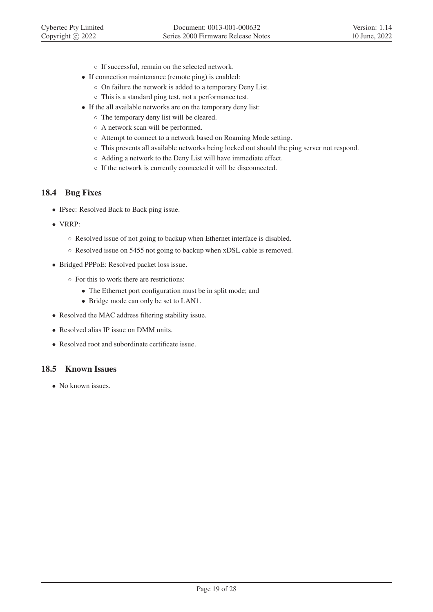- If successful, remain on the selected network.
- If connection maintenance (remote ping) is enabled:
	- On failure the network is added to a temporary Deny List.
	- This is a standard ping test, not a performance test.
- If the all available networks are on the temporary deny list:
	- The temporary deny list will be cleared.
	- A network scan will be performed.
	- Attempt to connect to a network based on Roaming Mode setting.
	- This prevents all available networks being locked out should the ping server not respond.
	- Adding a network to the Deny List will have immediate effect.
	- If the network is currently connected it will be disconnected.

#### 18.4 Bug Fixes

- IPsec: Resolved Back to Back ping issue.
- VRRP:
	- Resolved issue of not going to backup when Ethernet interface is disabled.
	- Resolved issue on 5455 not going to backup when xDSL cable is removed.
- Bridged PPPoE: Resolved packet loss issue.
	- For this to work there are restrictions:
		- The Ethernet port configuration must be in split mode; and
		- Bridge mode can only be set to LAN1.
- Resolved the MAC address filtering stability issue.
- Resolved alias IP issue on DMM units.
- Resolved root and subordinate certificate issue.

#### 18.5 Known Issues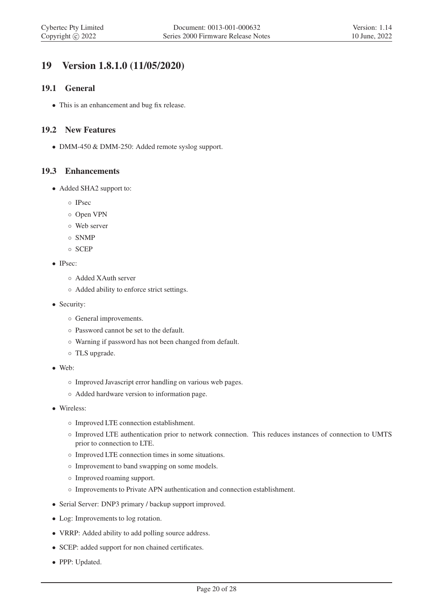## 19 Version 1.8.1.0 (11/05/2020)

#### 19.1 General

• This is an enhancement and bug fix release.

#### 19.2 New Features

• DMM-450 & DMM-250: Added remote syslog support.

#### 19.3 Enhancements

- Added SHA2 support to:
	- IPsec
	- Open VPN
	- Web server
	- SNMP
	- SCEP
- IPsec:
	- Added XAuth server
	- Added ability to enforce strict settings.
- Security:
	- General improvements.
	- Password cannot be set to the default.
	- Warning if password has not been changed from default.
	- TLS upgrade.
- Web:
	- Improved Javascript error handling on various web pages.
	- Added hardware version to information page.
- Wireless:
	- Improved LTE connection establishment.
	- Improved LTE authentication prior to network connection. This reduces instances of connection to UMTS prior to connection to LTE.
	- Improved LTE connection times in some situations.
	- Improvement to band swapping on some models.
	- Improved roaming support.
	- Improvements to Private APN authentication and connection establishment.
- Serial Server: DNP3 primary / backup support improved.
- Log: Improvements to log rotation.
- VRRP: Added ability to add polling source address.
- SCEP: added support for non chained certificates.
- PPP: Updated.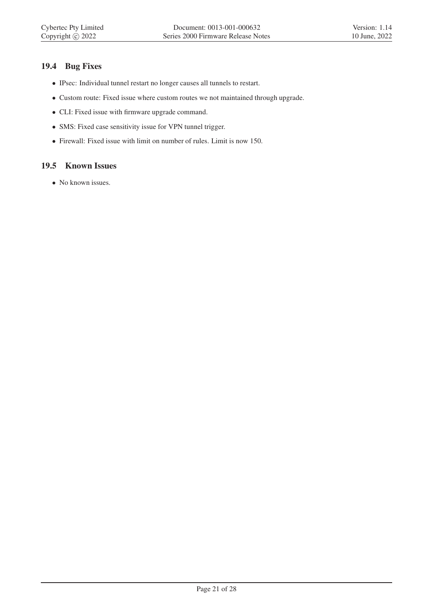#### 19.4 Bug Fixes

- IPsec: Individual tunnel restart no longer causes all tunnels to restart.
- Custom route: Fixed issue where custom routes we not maintained through upgrade.
- CLI: Fixed issue with firmware upgrade command.
- SMS: Fixed case sensitivity issue for VPN tunnel trigger.
- Firewall: Fixed issue with limit on number of rules. Limit is now 150.

#### 19.5 Known Issues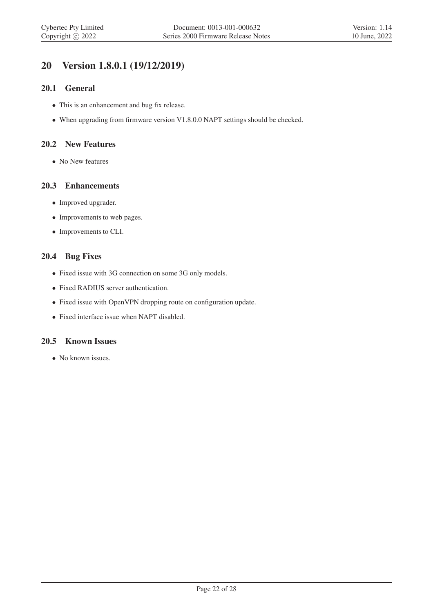## 20 Version 1.8.0.1 (19/12/2019)

#### 20.1 General

- This is an enhancement and bug fix release.
- When upgrading from firmware version V1.8.0.0 NAPT settings should be checked.

#### 20.2 New Features

• No New features

#### 20.3 Enhancements

- Improved upgrader.
- Improvements to web pages.
- Improvements to CLI.

#### 20.4 Bug Fixes

- Fixed issue with 3G connection on some 3G only models.
- Fixed RADIUS server authentication.
- Fixed issue with OpenVPN dropping route on configuration update.
- Fixed interface issue when NAPT disabled.

#### 20.5 Known Issues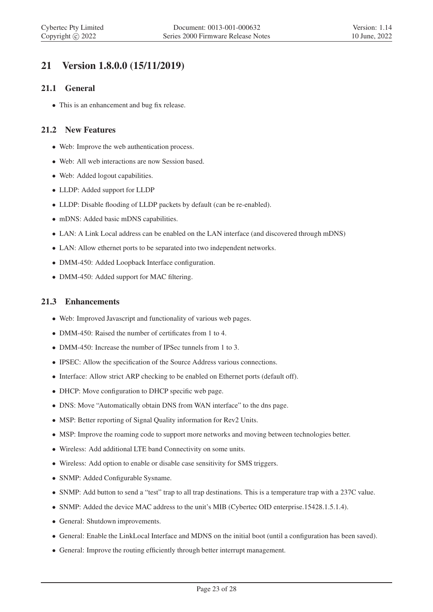## 21 Version 1.8.0.0 (15/11/2019)

#### 21.1 General

• This is an enhancement and bug fix release.

#### 21.2 New Features

- Web: Improve the web authentication process.
- Web: All web interactions are now Session based.
- Web: Added logout capabilities.
- LLDP: Added support for LLDP
- LLDP: Disable flooding of LLDP packets by default (can be re-enabled).
- mDNS: Added basic mDNS capabilities.
- LAN: A Link Local address can be enabled on the LAN interface (and discovered through mDNS)
- LAN: Allow ethernet ports to be separated into two independent networks.
- DMM-450: Added Loopback Interface configuration.
- DMM-450: Added support for MAC filtering.

#### 21.3 Enhancements

- Web: Improved Javascript and functionality of various web pages.
- DMM-450: Raised the number of certificates from 1 to 4.
- DMM-450: Increase the number of IPSec tunnels from 1 to 3.
- IPSEC: Allow the specification of the Source Address various connections.
- Interface: Allow strict ARP checking to be enabled on Ethernet ports (default off).
- DHCP: Move configuration to DHCP specific web page.
- DNS: Move "Automatically obtain DNS from WAN interface" to the dns page.
- MSP: Better reporting of Signal Quality information for Rev2 Units.
- MSP: Improve the roaming code to support more networks and moving between technologies better.
- Wireless: Add additional LTE band Connectivity on some units.
- Wireless: Add option to enable or disable case sensitivity for SMS triggers.
- SNMP: Added Configurable Sysname.
- SNMP: Add button to send a "test" trap to all trap destinations. This is a temperature trap with a 237C value.
- SNMP: Added the device MAC address to the unit's MIB (Cybertec OID enterprise.15428.1.5.1.4).
- General: Shutdown improvements.
- General: Enable the LinkLocal Interface and MDNS on the initial boot (until a configuration has been saved).
- General: Improve the routing efficiently through better interrupt management.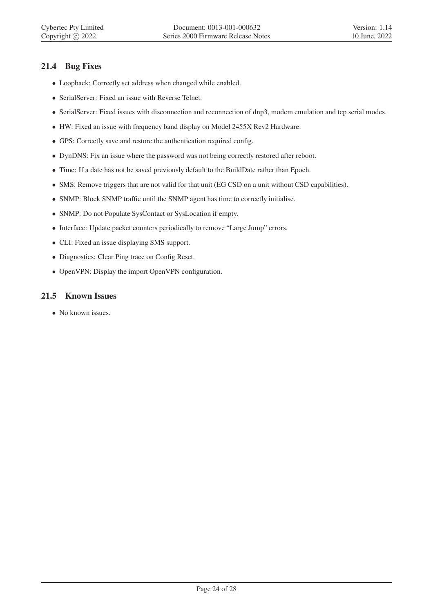#### 21.4 Bug Fixes

- Loopback: Correctly set address when changed while enabled.
- SerialServer: Fixed an issue with Reverse Telnet.
- SerialServer: Fixed issues with disconnection and reconnection of dnp3, modem emulation and tcp serial modes.
- HW: Fixed an issue with frequency band display on Model 2455X Rev2 Hardware.
- GPS: Correctly save and restore the authentication required config.
- DynDNS: Fix an issue where the password was not being correctly restored after reboot.
- Time: If a date has not be saved previously default to the BuildDate rather than Epoch.
- SMS: Remove triggers that are not valid for that unit (EG CSD on a unit without CSD capabilities).
- SNMP: Block SNMP traffic until the SNMP agent has time to correctly initialise.
- SNMP: Do not Populate SysContact or SysLocation if empty.
- Interface: Update packet counters periodically to remove "Large Jump" errors.
- CLI: Fixed an issue displaying SMS support.
- Diagnostics: Clear Ping trace on Config Reset.
- OpenVPN: Display the import OpenVPN configuration.

#### 21.5 Known Issues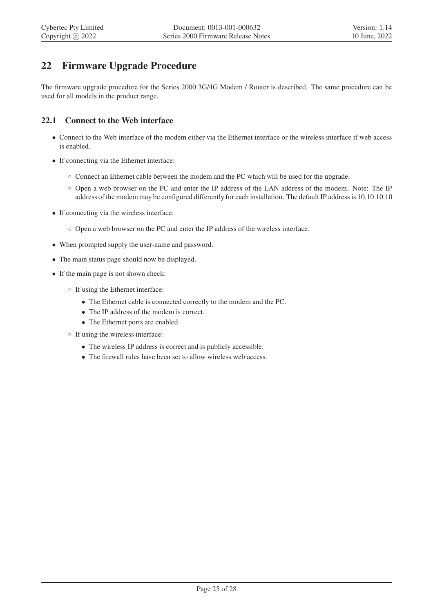## 22 Firmware Upgrade Procedure

The firmware upgrade procedure for the Series 2000 3G/4G Modem / Router is described. The same procedure can be used for all models in the product range.

#### 22.1 Connect to the Web interface

- Connect to the Web interface of the modem either via the Ethernet interface or the wireless interface if web access is enabled.
- If connecting via the Ethernet interface:
	- Connect an Ethernet cable between the modem and the PC which will be used for the upgrade.
	- Open a web browser on the PC and enter the IP address of the LAN address of the modem. Note: The IP address of the modem may be configured differently for each installation. The default IP address is 10.10.10.10
- If connecting via the wireless interface:
	- Open a web browser on the PC and enter the IP address of the wireless interface.
- When prompted supply the user-name and password.
- The main status page should now be displayed.
- If the main page is not shown check:
	- If using the Ethernet interface:
		- The Ethernet cable is connected correctly to the modem and the PC.
		- The IP address of the modem is correct.
		- The Ethernet ports are enabled.
	- If using the wireless interface:
		- The wireless IP address is correct and is publicly accessible.
		- The firewall rules have been set to allow wireless web access.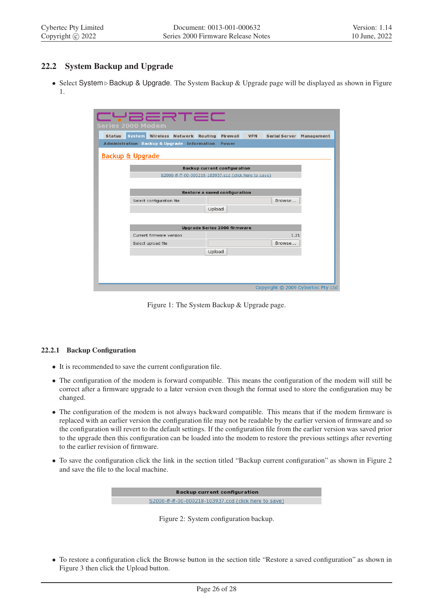#### 22.2 System Backup and Upgrade

• Select System ⊲Backup & Upgrade. The System Backup & Upgrade page will be displayed as shown in Figure 1.

| CYBERTEC<br><b>Series 2000 Modem</b>                   |                           |         |                                                       |            |                      |                                   |
|--------------------------------------------------------|---------------------------|---------|-------------------------------------------------------|------------|----------------------|-----------------------------------|
| <b>Status</b>                                          | System Wireless Network   | Routing | Firewall                                              | <b>VPN</b> | <b>Serial Server</b> | Management                        |
| <b>Administration Backup &amp; Upgrade Information</b> |                           |         | <b>Power</b>                                          |            |                      |                                   |
| <b>Backup &amp; Upgrade</b>                            |                           |         |                                                       |            |                      |                                   |
|                                                        |                           |         | <b>Backup current configuration</b>                   |            |                      |                                   |
|                                                        |                           |         | S2000-ff-ff-00-000218-103937.ccd (click here to save) |            |                      |                                   |
|                                                        |                           |         |                                                       |            |                      |                                   |
|                                                        |                           |         | Restore a saved configuration                         |            |                      |                                   |
|                                                        | Select configuration file |         |                                                       |            | Browse               |                                   |
|                                                        |                           | Upload  |                                                       |            |                      |                                   |
|                                                        |                           |         |                                                       |            |                      |                                   |
|                                                        |                           |         | Upgrade Series 2000 firmware                          |            |                      |                                   |
|                                                        | Current firmware version  |         |                                                       |            | 1.21                 |                                   |
|                                                        | Select upload file        |         |                                                       |            | Browse               |                                   |
|                                                        |                           | Upload  |                                                       |            |                      |                                   |
|                                                        |                           |         |                                                       |            |                      |                                   |
|                                                        |                           |         |                                                       |            |                      |                                   |
|                                                        |                           |         |                                                       |            |                      |                                   |
|                                                        |                           |         |                                                       |            |                      | Copyright © 2009 Cybertec Pty Ltd |

Figure 1: The System Backup & Upgrade page.

#### 22.2.1 Backup Configuration

- It is recommended to save the current configuration file.
- The configuration of the modem is forward compatible. This means the configuration of the modem will still be correct after a firmware upgrade to a later version even though the format used to store the configuration may be changed.
- The configuration of the modem is not always backward compatible. This means that if the modem firmware is replaced with an earlier version the configuration file may not be readable by the earlier version of firmware and so the configuration will revert to the default settings. If the configuration file from the earlier version was saved prior to the upgrade then this configuration can be loaded into the modem to restore the previous settings after reverting to the earlier revision of firmware.
- To save the configuration click the link in the section titled "Backup current configuration" as shown in Figure 2 and save the file to the local machine.

**Backup current configuration** S2000-ff-ff-00-000218-103937.ccd (click here to save)

Figure 2: System configuration backup.

• To restore a configuration click the Browse button in the section title "Restore a saved configuration" as shown in Figure 3 then click the Upload button.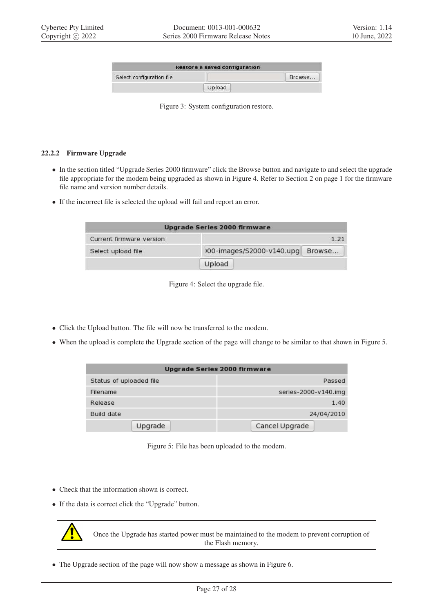|                           | Restore a saved configuration |        |
|---------------------------|-------------------------------|--------|
| Select configuration file |                               | Browse |
|                           | Upload                        |        |

Figure 3: System configuration restore.

#### 22.2.2 Firmware Upgrade

- In the section titled "Upgrade Series 2000 firmware" click the Browse button and navigate to and select the upgrade file appropriate for the modem being upgraded as shown in Figure 4. Refer to Section 2 on page 1 for the firmware file name and version number details.
- If the incorrect file is selected the upload will fail and report an error.

|                          | Upgrade Series 2000 firmware |        |
|--------------------------|------------------------------|--------|
| Current firmware version |                              | 1.21   |
| Select upload file       | 100-images/S2000-v140.upg    | Browse |
|                          | Upload                       |        |

Figure 4: Select the upgrade file.

- Click the Upload button. The file will now be transferred to the modem.
- When the upload is complete the Upgrade section of the page will change to be similar to that shown in Figure 5.

|                         | Upgrade Series 2000 firmware |
|-------------------------|------------------------------|
| Status of uploaded file | Passed                       |
| Filename                | series-2000-v140.img         |
| Release                 | 1.40                         |
| Build date              | 24/04/2010                   |
| Upgrade                 | Cancel Upgrade               |

Figure 5: File has been uploaded to the modem.

- Check that the information shown is correct.
- If the data is correct click the "Upgrade" button.



Once the Upgrade has started power must be maintained to the modem to prevent corruption of the Flash memory.

• The Upgrade section of the page will now show a message as shown in Figure 6.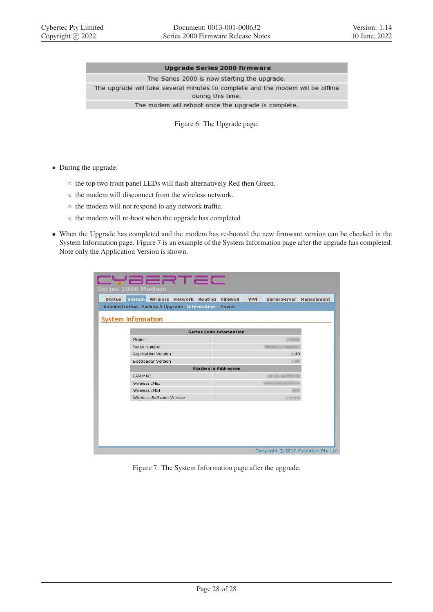#### Upgrade Series 2000 firmware

The Series 2000 is now starting the upgrade. The upgrade will take several minutes to complete and the modem will be offline during this time. The modem will reboot once the upgrade is complete.

Figure 6: The Upgrade page.

- During the upgrade:
	- the top two front panel LEDs will flash alternatively Red then Green.
	- the modem will disconnect from the wireless network.
	- the modem will not respond to any network traffic.
	- the modem will re-boot when the upgrade has completed
- When the Upgrade has completed and the modem has re-booted the new firmware version can be checked in the System Information page. Figure 7 is an example of the System Information page after the upgrade has completed. Note only the Application Version is shown.

| Administration Backup & Upgrade Information | Power                          |
|---------------------------------------------|--------------------------------|
| <b>System Information</b>                   |                                |
|                                             | <b>Series 2000 Information</b> |
| Model                                       |                                |
| Serial Number                               |                                |
| <b>Application Version</b>                  | 1.40                           |
| Bootloader Version                          |                                |
|                                             | <b>Hardware Addresses</b>      |
| LAN MAC                                     |                                |
| Wireless IMEI                               |                                |
| Wireless IMSI                               |                                |
| Wireless Software Version                   |                                |

Figure 7: The System Information page after the upgrade.